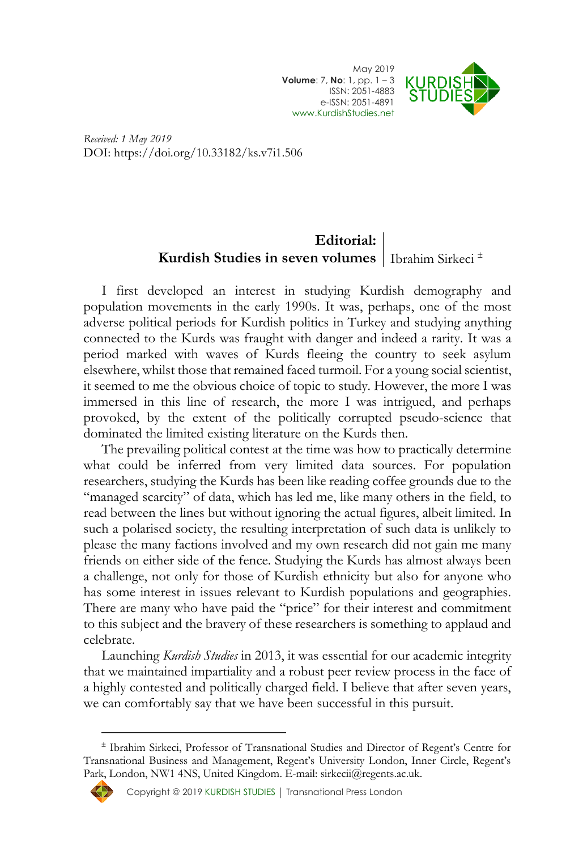May 2019 **Volume**: 7, **No**: 1, pp. 1 – 3 ISSN: 2051-4883 e-ISSN: 2051-4891 [www.KurdishStudies.net](http://www.kurdishstudies.net/)



*Received: 1 May 2019* DOI: https://doi.org/10.33182/ks.v7i1.506

## **Editorial: Kurdish Studies in seven volumes** Ibrahim Sirkeci<sup> $\pm$ </sup>

I first developed an interest in studying Kurdish demography and population movements in the early 1990s. It was, perhaps, one of the most adverse political periods for Kurdish politics in Turkey and studying anything connected to the Kurds was fraught with danger and indeed a rarity. It was a period marked with waves of Kurds fleeing the country to seek asylum elsewhere, whilst those that remained faced turmoil. For a young social scientist, it seemed to me the obvious choice of topic to study. However, the more I was immersed in this line of research, the more I was intrigued, and perhaps provoked, by the extent of the politically corrupted pseudo-science that dominated the limited existing literature on the Kurds then.

The prevailing political contest at the time was how to practically determine what could be inferred from very limited data sources. For population researchers, studying the Kurds has been like reading coffee grounds due to the "managed scarcity" of data, which has led me, like many others in the field, to read between the lines but without ignoring the actual figures, albeit limited. In such a polarised society, the resulting interpretation of such data is unlikely to please the many factions involved and my own research did not gain me many friends on either side of the fence. Studying the Kurds has almost always been a challenge, not only for those of Kurdish ethnicity but also for anyone who has some interest in issues relevant to Kurdish populations and geographies. There are many who have paid the "price" for their interest and commitment to this subject and the bravery of these researchers is something to applaud and celebrate.

Launching *Kurdish Studies* in 2013, it was essential for our academic integrity that we maintained impartiality and a robust peer review process in the face of a highly contested and politically charged field. I believe that after seven years, we can comfortably say that we have been successful in this pursuit.

Ibrahim Sirkeci, Professor of Transnational Studies and Director of Regent's Centre for Transnational Business and Management, Regent's University London, Inner Circle, Regent's Park, London, NW1 4NS, United Kingdom. E-mail: sirkecii@regents.ac.uk.



 $\overline{a}$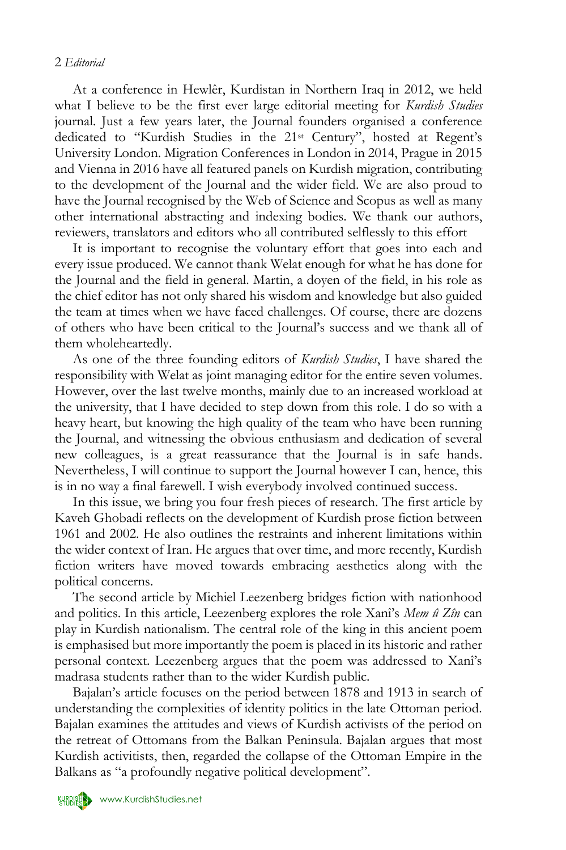## 2 *Editorial*

At a conference in Hewlêr, Kurdistan in Northern Iraq in 2012, we held what I believe to be the first ever large editorial meeting for *Kurdish Studies* journal. Just a few years later, the Journal founders organised a conference dedicated to "Kurdish Studies in the 21st Century", hosted at Regent's University London. Migration Conferences in London in 2014, Prague in 2015 and Vienna in 2016 have all featured panels on Kurdish migration, contributing to the development of the Journal and the wider field. We are also proud to have the Journal recognised by the Web of Science and Scopus as well as many other international abstracting and indexing bodies. We thank our authors, reviewers, translators and editors who all contributed selflessly to this effort

It is important to recognise the voluntary effort that goes into each and every issue produced. We cannot thank Welat enough for what he has done for the Journal and the field in general. Martin, a doyen of the field, in his role as the chief editor has not only shared his wisdom and knowledge but also guided the team at times when we have faced challenges. Of course, there are dozens of others who have been critical to the Journal's success and we thank all of them wholeheartedly.

As one of the three founding editors of *Kurdish Studies*, I have shared the responsibility with Welat as joint managing editor for the entire seven volumes. However, over the last twelve months, mainly due to an increased workload at the university, that I have decided to step down from this role. I do so with a heavy heart, but knowing the high quality of the team who have been running the Journal, and witnessing the obvious enthusiasm and dedication of several new colleagues, is a great reassurance that the Journal is in safe hands. Nevertheless, I will continue to support the Journal however I can, hence, this is in no way a final farewell. I wish everybody involved continued success.

In this issue, we bring you four fresh pieces of research. The first article by Kaveh Ghobadi reflects on the development of Kurdish prose fiction between 1961 and 2002. He also outlines the restraints and inherent limitations within the wider context of Iran. He argues that over time, and more recently, Kurdish fiction writers have moved towards embracing aesthetics along with the political concerns.

The second article by Michiel Leezenberg bridges fiction with nationhood and politics. In this article, Leezenberg explores the role Xanî's *Mem û Zîn* can play in Kurdish nationalism. The central role of the king in this ancient poem is emphasised but more importantly the poem is placed in its historic and rather personal context. Leezenberg argues that the poem was addressed to Xanî's madrasa students rather than to the wider Kurdish public.

Bajalan's article focuses on the period between 1878 and 1913 in search of understanding the complexities of identity politics in the late Ottoman period. Bajalan examines the attitudes and views of Kurdish activists of the period on the retreat of Ottomans from the Balkan Peninsula. Bajalan argues that most Kurdish activitists, then, regarded the collapse of the Ottoman Empire in the Balkans as "a profoundly negative political development".